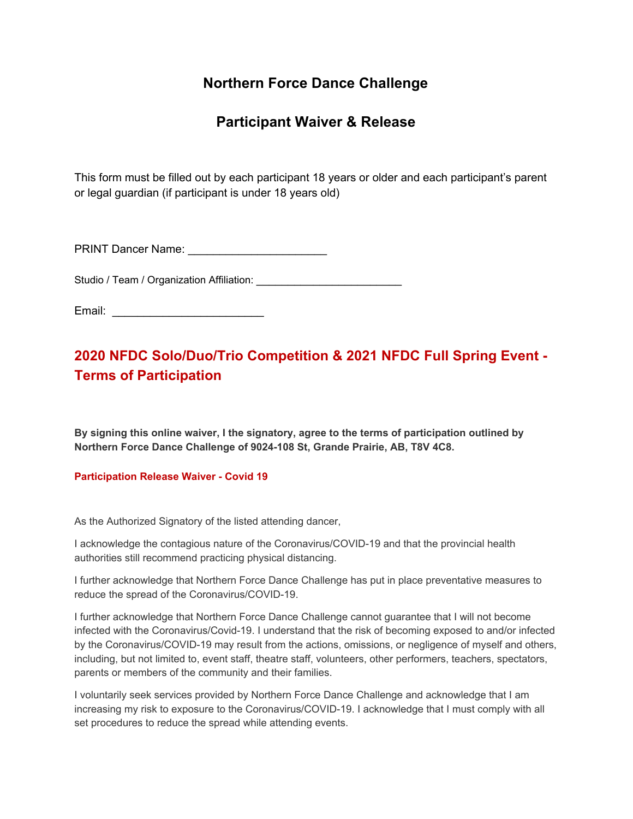## **Northern Force Dance Challenge**

### **Participant Waiver & Release**

This form must be filled out by each participant 18 years or older and each participant's parent or legal guardian (if participant is under 18 years old)

PRINT Dancer Name: \_\_\_\_\_\_\_\_\_\_\_\_\_\_\_\_\_\_\_\_\_\_

Studio / Team / Organization Affiliation:

Email: \_\_\_\_\_\_\_\_\_\_\_\_\_\_\_\_\_\_\_\_\_\_\_\_

# **2020 NFDC Solo/Duo/Trio Competition & 2021 NFDC Full Spring Event - Terms of Participation**

**By signing this online waiver, I the signatory, agree to the terms of participation outlined by Northern Force Dance Challenge of 9024-108 St, Grande Prairie, AB, T8V 4C8.**

**Participation Release Waiver - Covid 19**

As the Authorized Signatory of the listed attending dancer,

I acknowledge the contagious nature of the Coronavirus/COVID-19 and that the provincial health authorities still recommend practicing physical distancing.

I further acknowledge that Northern Force Dance Challenge has put in place preventative measures to reduce the spread of the Coronavirus/COVID-19.

I further acknowledge that Northern Force Dance Challenge cannot guarantee that I will not become infected with the Coronavirus/Covid-19. I understand that the risk of becoming exposed to and/or infected by the Coronavirus/COVID-19 may result from the actions, omissions, or negligence of myself and others, including, but not limited to, event staff, theatre staff, volunteers, other performers, teachers, spectators, parents or members of the community and their families.

I voluntarily seek services provided by Northern Force Dance Challenge and acknowledge that I am increasing my risk to exposure to the Coronavirus/COVID-19. I acknowledge that I must comply with all set procedures to reduce the spread while attending events.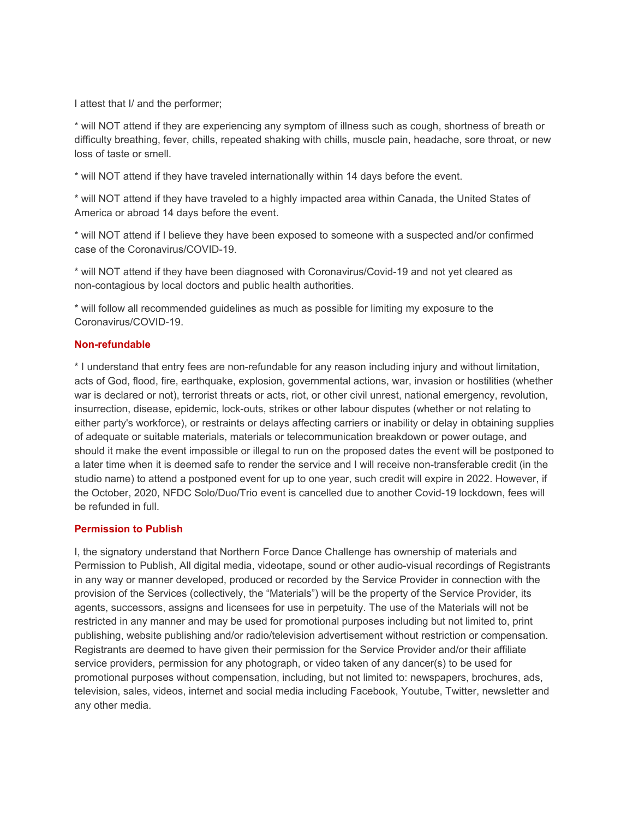I attest that I/ and the performer;

\* will NOT attend if they are experiencing any symptom of illness such as cough, shortness of breath or difficulty breathing, fever, chills, repeated shaking with chills, muscle pain, headache, sore throat, or new loss of taste or smell.

\* will NOT attend if they have traveled internationally within 14 days before the event.

\* will NOT attend if they have traveled to a highly impacted area within Canada, the United States of America or abroad 14 days before the event.

\* will NOT attend if I believe they have been exposed to someone with a suspected and/or confirmed case of the Coronavirus/COVID-19.

\* will NOT attend if they have been diagnosed with Coronavirus/Covid-19 and not yet cleared as non-contagious by local doctors and public health authorities.

\* will follow all recommended guidelines as much as possible for limiting my exposure to the Coronavirus/COVID-19.

### **Non-refundable**

\* I understand that entry fees are non-refundable for any reason including injury and without limitation, acts of God, flood, fire, earthquake, explosion, governmental actions, war, invasion or hostilities (whether war is declared or not), terrorist threats or acts, riot, or other civil unrest, national emergency, revolution, insurrection, disease, epidemic, lock-outs, strikes or other labour disputes (whether or not relating to either party's workforce), or restraints or delays affecting carriers or inability or delay in obtaining supplies of adequate or suitable materials, materials or telecommunication breakdown or power outage, and should it make the event impossible or illegal to run on the proposed dates the event will be postponed to a later time when it is deemed safe to render the service and I will receive non-transferable credit (in the studio name) to attend a postponed event for up to one year, such credit will expire in 2022. However, if the October, 2020, NFDC Solo/Duo/Trio event is cancelled due to another Covid-19 lockdown, fees will be refunded in full.

#### **Permission to Publish**

I, the signatory understand that Northern Force Dance Challenge has ownership of materials and Permission to Publish, All digital media, videotape, sound or other audio-visual recordings of Registrants in any way or manner developed, produced or recorded by the Service Provider in connection with the provision of the Services (collectively, the "Materials") will be the property of the Service Provider, its agents, successors, assigns and licensees for use in perpetuity. The use of the Materials will not be restricted in any manner and may be used for promotional purposes including but not limited to, print publishing, website publishing and/or radio/television advertisement without restriction or compensation. Registrants are deemed to have given their permission for the Service Provider and/or their affiliate service providers, permission for any photograph, or video taken of any dancer(s) to be used for promotional purposes without compensation, including, but not limited to: newspapers, brochures, ads, television, sales, videos, internet and social media including Facebook, Youtube, Twitter, newsletter and any other media.